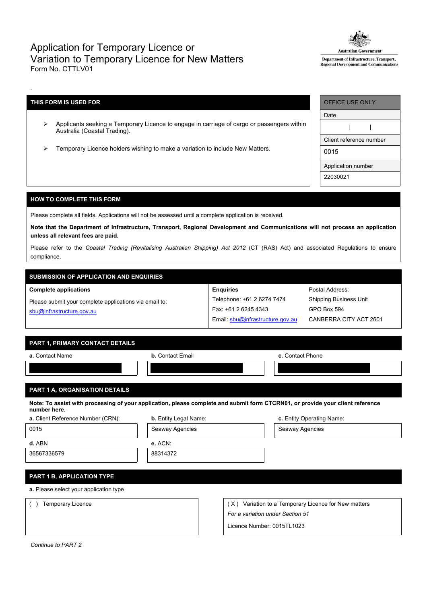## Application for Temporary Licence or Variation to Temporary Licence for New Matters Form No. CTTLV01



Department of Infrastructure, Transport, Regional Development and Communications

## **THIS FORM IS USED FOR**

-

- Applicants seeking a Temporary Licence to engage in carriage of cargo or passengers within Australia (Coastal Trading).
- Temporary Licence holders wishing to make a variation to include New Matters.

| OFFICE USE ONLY         |  |  |  |  |
|-------------------------|--|--|--|--|
| Date                    |  |  |  |  |
|                         |  |  |  |  |
| Client reference number |  |  |  |  |
| 0015                    |  |  |  |  |
| Application number      |  |  |  |  |
| 22030021                |  |  |  |  |

Postal Address: Shipping Business Unit

GPO Box 594

CANBERRA CITY ACT 2601

## **HOW TO COMPLETE THIS FORM**

Please complete all fields. Applications will not be assessed until a complete application is received.

Note that the Department of Infrastructure, Transport, Regional Development and Communications will not process an application **unless all relevant fees are paid.**

Please refer to the *Coastal Trading (Revitalising Australian Shipping) Act 2012* (CT (RAS) Act) and associated Regulations to ensure compliance.

**Enquiries**

Telephone: +61 2 6274 7474 Fax: +61 2 6245 4343

Email: [sbu@infrastructure.gov.au](mailto:sbu@infrastructure.gov.au)

# **SUBMISSION OF APPLICATION AND ENQUIRIES**

#### **Complete applications**

Please submit your complete applications via email to: [sbu@infrastructure.gov.au](mailto:sbu@infrastructure.gov.au)

|  | <b>PART 1. PRIMARY CONTACT DETAILS</b> |  |
|--|----------------------------------------|--|
|  |                                        |  |

| a. Contact Name | <b>b.</b> Contact Email | c. Contact Phone |
|-----------------|-------------------------|------------------|
|                 |                         |                  |
|                 |                         |                  |
|                 |                         |                  |

### **PART 1 A, ORGANISATION DETAILS**

Note: To assist with processing of your application, please complete and submit form CTCRN01, or provide your client reference **number here.**

| <b>a.</b> Client Reference Number (CRN): | <b>b.</b> Entity Legal Name: | c. Entity Operating Name: |
|------------------------------------------|------------------------------|---------------------------|
| 0015                                     | Seaway Agencies              | Seaway Agencies           |
| d. ABN                                   | e. ACN:                      |                           |
| 36567336579                              | 88314372                     |                           |
|                                          |                              |                           |
| PART 1 B, APPLICATION TYPE               |                              |                           |

**a.** Please select your application type

() Temporary Licence ( X) Variation to a Temporary Licence for New matters *For a variation under Section 51*

Licence Number: 0015TL1023

*Continue to PART 2*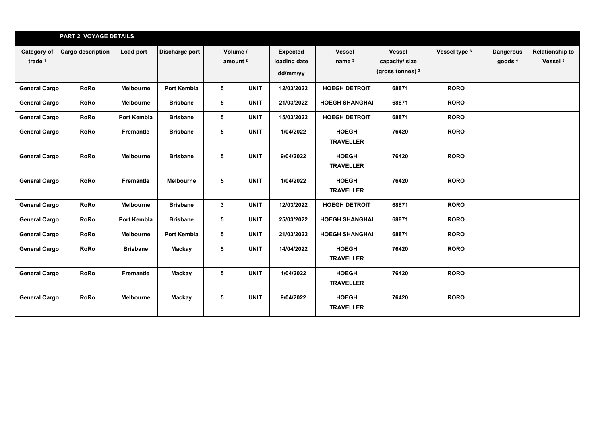|                                   | <b>PART 2, VOYAGE DETAILS</b> |                  |                  |                                 |             |                                             |                                    |                                                       |               |                                        |                                               |
|-----------------------------------|-------------------------------|------------------|------------------|---------------------------------|-------------|---------------------------------------------|------------------------------------|-------------------------------------------------------|---------------|----------------------------------------|-----------------------------------------------|
| Category of<br>trade <sup>1</sup> | Cargo description             | Load port        | Discharge port   | Volume /<br>amount <sup>2</sup> |             | <b>Expected</b><br>loading date<br>dd/mm/yy | <b>Vessel</b><br>name <sup>3</sup> | <b>Vessel</b><br>capacity/ size<br>(gross tonnes) $3$ | Vessel type 3 | <b>Dangerous</b><br>goods <sup>4</sup> | <b>Relationship to</b><br>Vessel <sup>5</sup> |
| <b>General Cargo</b>              | <b>RoRo</b>                   | Melbourne        | Port Kembla      | 5                               | <b>UNIT</b> | 12/03/2022                                  | <b>HOEGH DETROIT</b>               | 68871                                                 | <b>RORO</b>   |                                        |                                               |
| <b>General Cargo</b>              | <b>RoRo</b>                   | Melbourne        | <b>Brisbane</b>  | 5                               | <b>UNIT</b> | 21/03/2022                                  | <b>HOEGH SHANGHAI</b>              | 68871                                                 | <b>RORO</b>   |                                        |                                               |
| <b>General Cargo</b>              | <b>RoRo</b>                   | Port Kembla      | <b>Brisbane</b>  | 5                               | <b>UNIT</b> | 15/03/2022                                  | <b>HOEGH DETROIT</b>               | 68871                                                 | <b>RORO</b>   |                                        |                                               |
| <b>General Cargo</b>              | <b>RoRo</b>                   | Fremantle        | <b>Brisbane</b>  | 5                               | <b>UNIT</b> | 1/04/2022                                   | <b>HOEGH</b><br><b>TRAVELLER</b>   | 76420                                                 | <b>RORO</b>   |                                        |                                               |
| <b>General Cargo</b>              | <b>RoRo</b>                   | Melbourne        | <b>Brisbane</b>  | 5                               | <b>UNIT</b> | 9/04/2022                                   | <b>HOEGH</b><br><b>TRAVELLER</b>   | 76420                                                 | <b>RORO</b>   |                                        |                                               |
| <b>General Cargo</b>              | <b>RoRo</b>                   | Fremantle        | <b>Melbourne</b> | 5                               | <b>UNIT</b> | 1/04/2022                                   | <b>HOEGH</b><br><b>TRAVELLER</b>   | 76420                                                 | <b>RORO</b>   |                                        |                                               |
| <b>General Cargo</b>              | <b>RoRo</b>                   | <b>Melbourne</b> | <b>Brisbane</b>  | $\mathbf{3}$                    | <b>UNIT</b> | 12/03/2022                                  | <b>HOEGH DETROIT</b>               | 68871                                                 | <b>RORO</b>   |                                        |                                               |
| <b>General Cargo</b>              | <b>RoRo</b>                   | Port Kembla      | <b>Brisbane</b>  | 5                               | <b>UNIT</b> | 25/03/2022                                  | <b>HOEGH SHANGHAI</b>              | 68871                                                 | <b>RORO</b>   |                                        |                                               |
| <b>General Cargo</b>              | <b>RoRo</b>                   | <b>Melbourne</b> | Port Kembla      | 5                               | <b>UNIT</b> | 21/03/2022                                  | <b>HOEGH SHANGHAI</b>              | 68871                                                 | <b>RORO</b>   |                                        |                                               |
| <b>General Cargo</b>              | <b>RoRo</b>                   | <b>Brisbane</b>  | Mackay           | 5                               | <b>UNIT</b> | 14/04/2022                                  | <b>HOEGH</b><br><b>TRAVELLER</b>   | 76420                                                 | <b>RORO</b>   |                                        |                                               |
| <b>General Cargo</b>              | <b>RoRo</b>                   | <b>Fremantle</b> | Mackay           | 5                               | <b>UNIT</b> | 1/04/2022                                   | <b>HOEGH</b><br><b>TRAVELLER</b>   | 76420                                                 | <b>RORO</b>   |                                        |                                               |
| <b>General Cargo</b>              | <b>RoRo</b>                   | Melbourne        | Mackay           | 5                               | <b>UNIT</b> | 9/04/2022                                   | <b>HOEGH</b><br><b>TRAVELLER</b>   | 76420                                                 | <b>RORO</b>   |                                        |                                               |